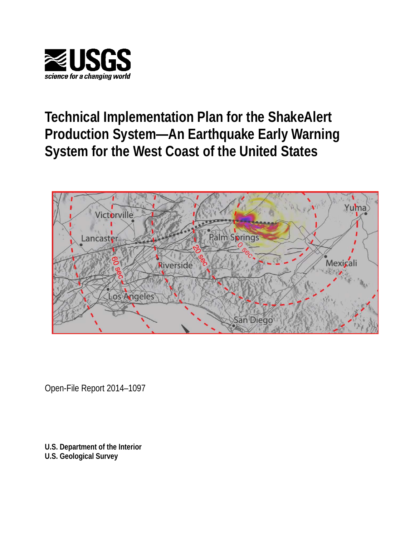

# **Technical Implementation Plan for the ShakeAlert Production System—An Earthquake Early Warning System for the West Coast of the United States**



Open-File Report 2014–1097

**U.S. Department of the Interior U.S. Geological Survey**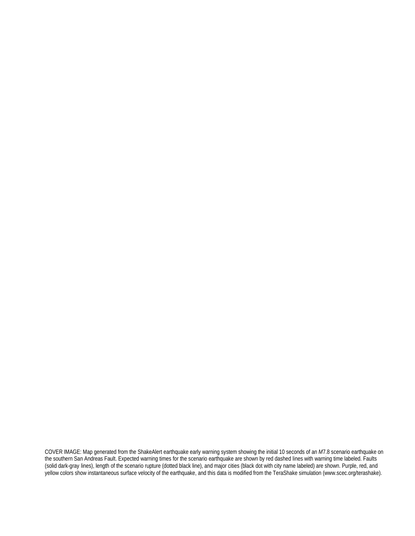COVER IMAGE: Map generated from the ShakeAlert earthquake early warning system showing the initial 10 seconds of an *M*7.8 scenario earthquake on the southern San Andreas Fault. Expected warning times for the scenario earthquake are shown by red dashed lines with warning time labeled. Faults (solid dark-gray lines), length of the scenario rupture (dotted black line), and major cities (black dot with city name labeled) are shown. Purple, red, and yellow colors show instantaneous surface velocity of the earthquake, and this data is modified from the TeraShake simulation (www.scec.org/terashake).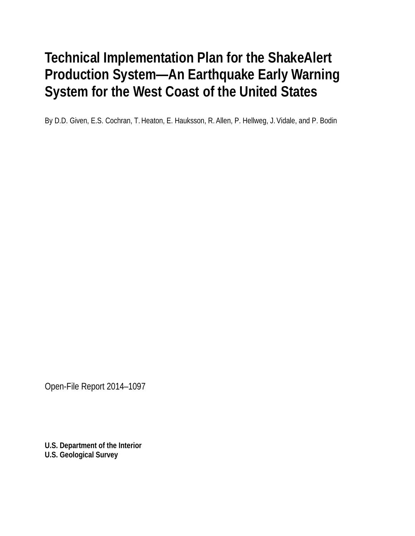# **Technical Implementation Plan for the ShakeAlert Production System—An Earthquake Early Warning System for the West Coast of the United States**

By D.D. Given, E.S. Cochran, T. Heaton, E. Hauksson, R. Allen, P. Hellweg, J. Vidale, and P. Bodin

Open-File Report 2014–1097

**U.S. Department of the Interior U.S. Geological Survey**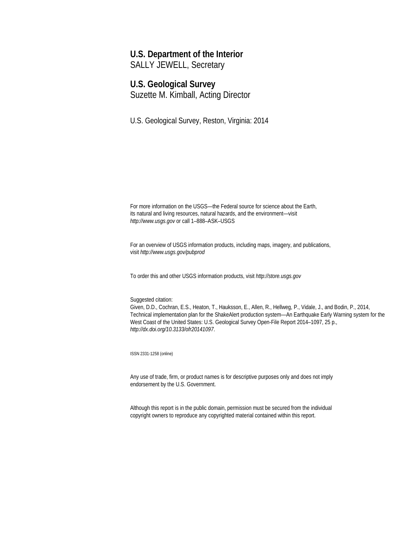## **U.S. Department of the Interior**

SALLY JEWELL, Secretary

## **U.S. Geological Survey**

Suzette M. Kimball, Acting Director

U.S. Geological Survey, Reston, Virginia: 2014

For more information on the USGS—the Federal source for science about the Earth, its natural and living resources, natural hazards, and the environment—visit *http://www.usgs.gov* or call 1–888–ASK–USGS

For an overview of USGS information products, including maps, imagery, and publications, visit *http://www.usgs.gov/pubprod*

To order this and other USGS information products, visit *http://store.usgs.gov*

#### Suggested citation:

Given, D.D., Cochran, E.S., Heaton, T., Hauksson, E., Allen, R., Hellweg, P., Vidale, J., and Bodin, P., 2014, Technical implementation plan for the ShakeAlert production system—An Earthquake Early Warning system for the West Coast of the United States: U.S. Geological Survey Open-File Report 2014–1097, 25 p., *http://dx.doi.org/10.3133/ofr20141097*.

ISSN 2331-1258 (online)

Any use of trade, firm, or product names is for descriptive purposes only and does not imply endorsement by the U.S. Government.

Although this report is in the public domain, permission must be secured from the individual copyright owners to reproduce any copyrighted material contained within this report.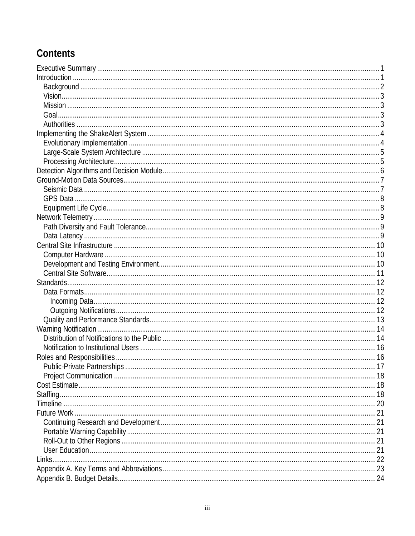# Contents

| Links. |  |
|--------|--|
|        |  |
|        |  |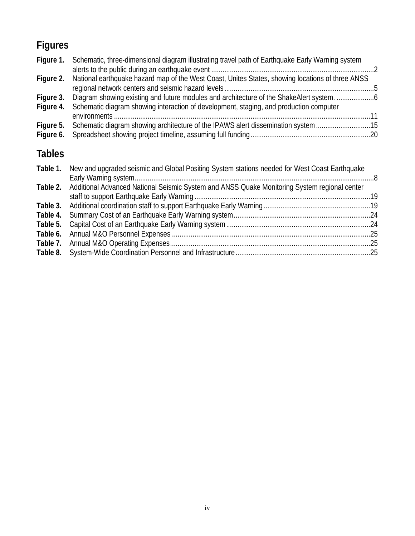# **Figures**

| Figure 1. Schematic, three-dimensional diagram illustrating travel path of Earthquake Early Warning system |  |
|------------------------------------------------------------------------------------------------------------|--|
| Figure 2. National earthquake hazard map of the West Coast, Unites States, showing locations of three ANSS |  |
| Figure 4. Schematic diagram showing interaction of development, staging, and production computer           |  |
|                                                                                                            |  |
| Figure 5. Schematic diagram showing architecture of the IPAWS alert dissemination system 15                |  |
|                                                                                                            |  |

# **Tables**

| New and upgraded seismic and Global Positing System stations needed for West Coast Earthquake         |  |
|-------------------------------------------------------------------------------------------------------|--|
| Table 2. Additional Advanced National Seismic System and ANSS Quake Monitoring System regional center |  |
|                                                                                                       |  |
|                                                                                                       |  |
|                                                                                                       |  |
|                                                                                                       |  |
|                                                                                                       |  |
|                                                                                                       |  |
|                                                                                                       |  |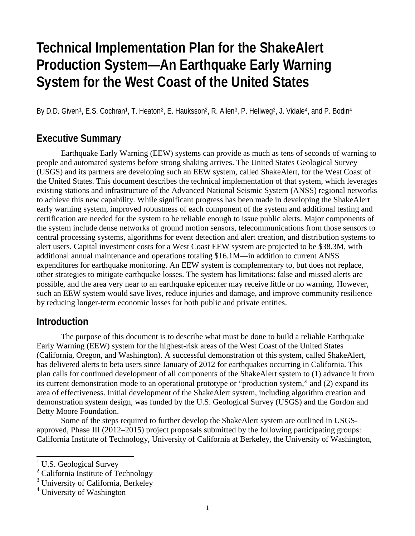# **Technical Implementation Plan for the ShakeAlert Production System—An Earthquake Early Warning System for the West Coast of the United States**

By D.D. Given<sup>1</sup>, E.S. Cochran<sup>1</sup>, T. Heaton<sup>2</sup>, E. Hauksson<sup>2</sup>, R. Allen<sup>3</sup>, P. Hellweg<sup>3</sup>, J. Vidale<sup>4</sup>, and P. Bodin<sup>4</sup>

## **Executive Summary**

Earthquake Early Warning (EEW) systems can provide as much as tens of seconds of warning to people and automated systems before strong shaking arrives. The United States Geological Survey (USGS) and its partners are developing such an EEW system, called ShakeAlert, for the West Coast of the United States. This document describes the technical implementation of that system, which leverages existing stations and infrastructure of the Advanced National Seismic System (ANSS) regional networks to achieve this new capability. While significant progress has been made in developing the ShakeAlert early warning system, improved robustness of each component of the system and additional testing and certification are needed for the system to be reliable enough to issue public alerts. Major components of the system include dense networks of ground motion sensors, telecommunications from those sensors to central processing systems, algorithms for event detection and alert creation, and distribution systems to alert users. Capital investment costs for a West Coast EEW system are projected to be \$38.3M, with additional annual maintenance and operations totaling \$16.1M—in addition to current ANSS expenditures for earthquake monitoring. An EEW system is complementary to, but does not replace, other strategies to mitigate earthquake losses. The system has limitations: false and missed alerts are possible, and the area very near to an earthquake epicenter may receive little or no warning. However, such an EEW system would save lives, reduce injuries and damage, and improve community resilience by reducing longer-term economic losses for both public and private entities.

## **Introduction**

The purpose of this document is to describe what must be done to build a reliable Earthquake Early Warning (EEW) system for the highest-risk areas of the West Coast of the United States (California, Oregon, and Washington). A successful demonstration of this system, called ShakeAlert, has delivered alerts to beta users since January of 2012 for earthquakes occurring in California. This plan calls for continued development of all components of the ShakeAlert system to (1) advance it from its current demonstration mode to an operational prototype or "production system," and (2) expand its area of effectiveness. Initial development of the ShakeAlert system, including algorithm creation and demonstration system design, was funded by the U.S. Geological Survey (USGS) and the Gordon and Betty Moore Foundation.

Some of the steps required to further develop the ShakeAlert system are outlined in USGSapproved, Phase III (2012–2015) project proposals submitted by the following participating groups: California Institute of Technology, University of California at Berkeley, the University of Washington,

 $1$  U.S. Geological Survey

<sup>&</sup>lt;sup>2</sup> California Institute of Technology

<sup>&</sup>lt;sup>3</sup> University of California, Berkeley

<sup>4</sup> University of Washington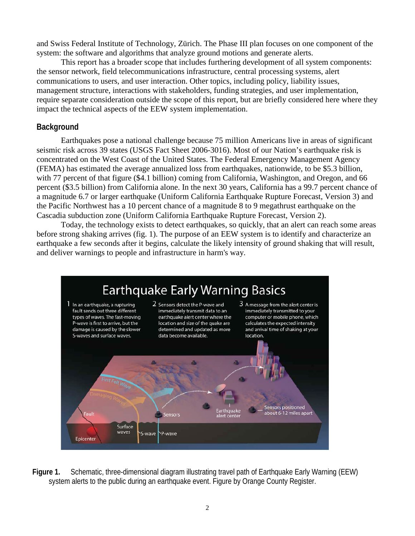and Swiss Federal Institute of Technology, Zürich. The Phase III plan focuses on one component of the system: the software and algorithms that analyze ground motions and generate alerts.

This report has a broader scope that includes furthering development of all system components: the sensor network, field telecommunications infrastructure, central processing systems, alert communications to users, and user interaction. Other topics, including policy, liability issues, management structure, interactions with stakeholders, funding strategies, and user implementation, require separate consideration outside the scope of this report, but are briefly considered here where they impact the technical aspects of the EEW system implementation.

### **Background**

Earthquakes pose a national challenge because 75 million Americans live in areas of significant seismic risk across 39 states (USGS Fact Sheet 2006-3016). Most of our Nation's earthquake risk is concentrated on the West Coast of the United States. The Federal Emergency Management Agency (FEMA) has estimated the average annualized loss from earthquakes, nationwide, to be \$5.3 billion, with 77 percent of that figure (\$4.1 billion) coming from California, Washington, and Oregon, and 66 percent (\$3.5 billion) from California alone. In the next 30 years, California has a 99.7 percent chance of a magnitude 6.7 or larger earthquake (Uniform California Earthquake Rupture Forecast, Version 3) and the Pacific Northwest has a 10 percent chance of a magnitude 8 to 9 megathrust earthquake on the Cascadia subduction zone (Uniform California Earthquake Rupture Forecast, Version 2).

Today, the technology exists to detect earthquakes, so quickly, that an alert can reach some areas before strong shaking arrives (fig. 1). The purpose of an EEW system is to identify and characterize an earthquake a few seconds after it begins, calculate the likely intensity of ground shaking that will result, and deliver warnings to people and infrastructure in harm's way.



**Figure 1.** Schematic, three-dimensional diagram illustrating travel path of Earthquake Early Warning (EEW) system alerts to the public during an earthquake event. Figure by Orange County Register.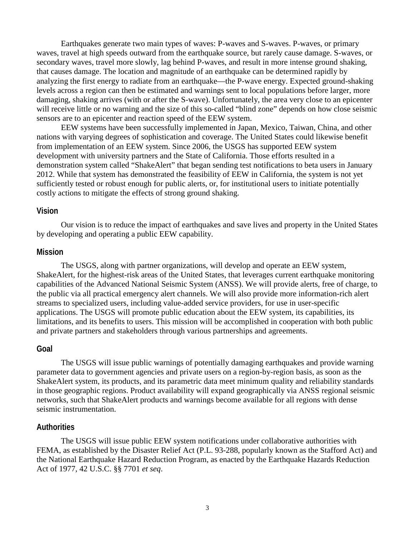Earthquakes generate two main types of waves: P-waves and S-waves. P-waves, or primary waves, travel at high speeds outward from the earthquake source, but rarely cause damage. S-waves, or secondary waves, travel more slowly, lag behind P-waves, and result in more intense ground shaking, that causes damage. The location and magnitude of an earthquake can be determined rapidly by analyzing the first energy to radiate from an earthquake—the P-wave energy. Expected ground-shaking levels across a region can then be estimated and warnings sent to local populations before larger, more damaging, shaking arrives (with or after the S-wave). Unfortunately, the area very close to an epicenter will receive little or no warning and the size of this so-called "blind zone" depends on how close seismic sensors are to an epicenter and reaction speed of the EEW system.

EEW systems have been successfully implemented in Japan, Mexico, Taiwan, China, and other nations with varying degrees of sophistication and coverage. The United States could likewise benefit from implementation of an EEW system. Since 2006, the USGS has supported EEW system development with university partners and the State of California. Those efforts resulted in a demonstration system called "ShakeAlert" that began sending test notifications to beta users in January 2012. While that system has demonstrated the feasibility of EEW in California, the system is not yet sufficiently tested or robust enough for public alerts, or, for institutional users to initiate potentially costly actions to mitigate the effects of strong ground shaking.

#### **Vision**

Our vision is to reduce the impact of earthquakes and save lives and property in the United States by developing and operating a public EEW capability.

#### **Mission**

The USGS, along with partner organizations, will develop and operate an EEW system, ShakeAlert, for the highest-risk areas of the United States, that leverages current earthquake monitoring capabilities of the Advanced National Seismic System (ANSS). We will provide alerts, free of charge, to the public via all practical emergency alert channels. We will also provide more information-rich alert streams to specialized users, including value-added service providers, for use in user-specific applications. The USGS will promote public education about the EEW system, its capabilities, its limitations, and its benefits to users. This mission will be accomplished in cooperation with both public and private partners and stakeholders through various partnerships and agreements.

#### **Goal**

The USGS will issue public warnings of potentially damaging earthquakes and provide warning parameter data to government agencies and private users on a region-by-region basis, as soon as the ShakeAlert system, its products, and its parametric data meet minimum quality and reliability standards in those geographic regions. Product availability will expand geographically via ANSS regional seismic networks, such that ShakeAlert products and warnings become available for all regions with dense seismic instrumentation.

#### **Authorities**

The USGS will issue public EEW system notifications under collaborative authorities with FEMA, as established by the Disaster Relief Act (P.L. 93-288, popularly known as the Stafford Act) and the National Earthquake Hazard Reduction Program, as enacted by the Earthquake Hazards Reduction Act of 1977, 42 U.S.C. §§ 7701 *et seq*.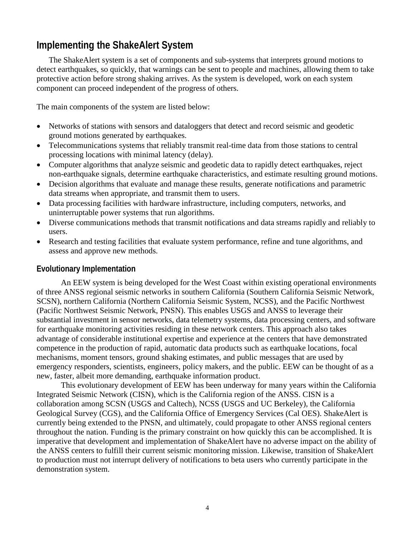# **Implementing the ShakeAlert System**

The ShakeAlert system is a set of components and sub-systems that interprets ground motions to detect earthquakes, so quickly, that warnings can be sent to people and machines, allowing them to take protective action before strong shaking arrives. As the system is developed, work on each system component can proceed independent of the progress of others.

The main components of the system are listed below:

- Networks of stations with sensors and dataloggers that detect and record seismic and geodetic ground motions generated by earthquakes.
- Telecommunications systems that reliably transmit real-time data from those stations to central processing locations with minimal latency (delay).
- Computer algorithms that analyze seismic and geodetic data to rapidly detect earthquakes, reject non-earthquake signals, determine earthquake characteristics, and estimate resulting ground motions.
- Decision algorithms that evaluate and manage these results, generate notifications and parametric data streams when appropriate, and transmit them to users.
- Data processing facilities with hardware infrastructure, including computers, networks, and uninterruptable power systems that run algorithms.
- Diverse communications methods that transmit notifications and data streams rapidly and reliably to users.
- Research and testing facilities that evaluate system performance, refine and tune algorithms, and assess and approve new methods.

#### **Evolutionary Implementation**

An EEW system is being developed for the West Coast within existing operational environments of three ANSS regional seismic networks in southern California (Southern California Seismic Network, SCSN), northern California (Northern California Seismic System, NCSS), and the Pacific Northwest (Pacific Northwest Seismic Network, PNSN). This enables USGS and ANSS to leverage their substantial investment in sensor networks, data telemetry systems, data processing centers, and software for earthquake monitoring activities residing in these network centers. This approach also takes advantage of considerable institutional expertise and experience at the centers that have demonstrated competence in the production of rapid, automatic data products such as earthquake locations, focal mechanisms, moment tensors, ground shaking estimates, and public messages that are used by emergency responders, scientists, engineers, policy makers, and the public. EEW can be thought of as a new, faster, albeit more demanding, earthquake information product.

This evolutionary development of EEW has been underway for many years within the California Integrated Seismic Network (CISN), which is the California region of the ANSS. CISN is a collaboration among SCSN (USGS and Caltech), NCSS (USGS and UC Berkeley), the California Geological Survey (CGS), and the California Office of Emergency Services (Cal OES). ShakeAlert is currently being extended to the PNSN, and ultimately, could propagate to other ANSS regional centers throughout the nation. Funding is the primary constraint on how quickly this can be accomplished. It is imperative that development and implementation of ShakeAlert have no adverse impact on the ability of the ANSS centers to fulfill their current seismic monitoring mission. Likewise, transition of ShakeAlert to production must not interrupt delivery of notifications to beta users who currently participate in the demonstration system.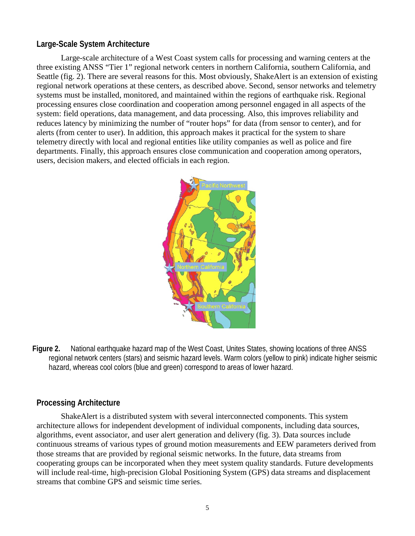#### **Large-Scale System Architecture**

Large-scale architecture of a West Coast system calls for processing and warning centers at the three existing ANSS "Tier 1" regional network centers in northern California, southern California, and Seattle (fig. 2). There are several reasons for this. Most obviously, ShakeAlert is an extension of existing regional network operations at these centers, as described above. Second, sensor networks and telemetry systems must be installed, monitored, and maintained within the regions of earthquake risk. Regional processing ensures close coordination and cooperation among personnel engaged in all aspects of the system: field operations, data management, and data processing. Also, this improves reliability and reduces latency by minimizing the number of "router hops" for data (from sensor to center), and for alerts (from center to user). In addition, this approach makes it practical for the system to share telemetry directly with local and regional entities like utility companies as well as police and fire departments. Finally, this approach ensures close communication and cooperation among operators, users, decision makers, and elected officials in each region.



**Figure 2.** National earthquake hazard map of the West Coast, Unites States, showing locations of three ANSS regional network centers (stars) and seismic hazard levels. Warm colors (yellow to pink) indicate higher seismic hazard, whereas cool colors (blue and green) correspond to areas of lower hazard.

#### **Processing Architecture**

ShakeAlert is a distributed system with several interconnected components. This system architecture allows for independent development of individual components, including data sources, algorithms, event associator, and user alert generation and delivery (fig. 3). Data sources include continuous streams of various types of ground motion measurements and EEW parameters derived from those streams that are provided by regional seismic networks. In the future, data streams from cooperating groups can be incorporated when they meet system quality standards. Future developments will include real-time, high-precision Global Positioning System (GPS) data streams and displacement streams that combine GPS and seismic time series.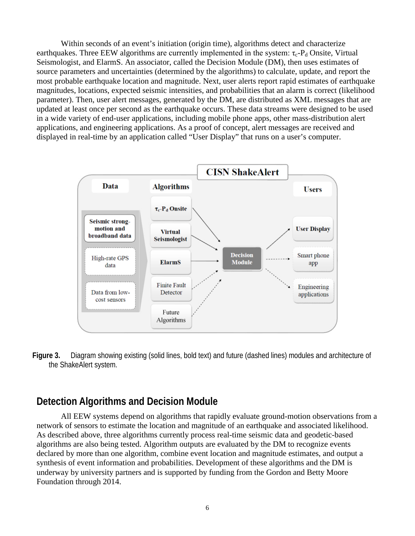Within seconds of an event's initiation (origin time), algorithms detect and characterize earthquakes. Three EEW algorithms are currently implemented in the system:  $\tau_c$ -P<sub>d</sub> Onsite, Virtual Seismologist, and ElarmS. An associator, called the Decision Module (DM), then uses estimates of source parameters and uncertainties (determined by the algorithms) to calculate, update, and report the most probable earthquake location and magnitude. Next, user alerts report rapid estimates of earthquake magnitudes, locations, expected seismic intensities, and probabilities that an alarm is correct (likelihood parameter). Then, user alert messages, generated by the DM, are distributed as XML messages that are updated at least once per second as the earthquake occurs. These data streams were designed to be used in a wide variety of end-user applications, including mobile phone apps, other mass-distribution alert applications, and engineering applications. As a proof of concept, alert messages are received and displayed in real-time by an application called "User Display" that runs on a user's computer.



**Figure 3.** Diagram showing existing (solid lines, bold text) and future (dashed lines) modules and architecture of the ShakeAlert system.

## **Detection Algorithms and Decision Module**

All EEW systems depend on algorithms that rapidly evaluate ground-motion observations from a network of sensors to estimate the location and magnitude of an earthquake and associated likelihood. As described above, three algorithms currently process real-time seismic data and geodetic-based algorithms are also being tested. Algorithm outputs are evaluated by the DM to recognize events declared by more than one algorithm, combine event location and magnitude estimates, and output a synthesis of event information and probabilities. Development of these algorithms and the DM is underway by university partners and is supported by funding from the Gordon and Betty Moore Foundation through 2014.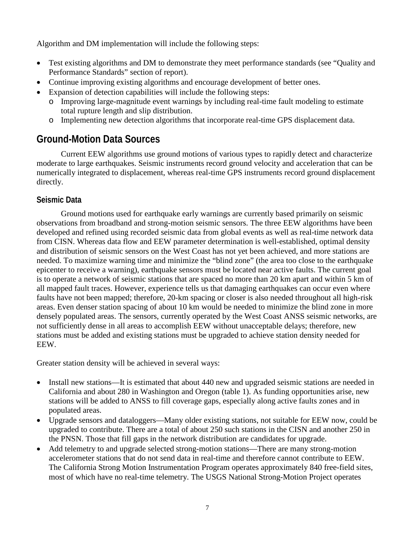Algorithm and DM implementation will include the following steps:

- Test existing algorithms and DM to demonstrate they meet performance standards (see "Quality and Performance Standards" section of report).
- Continue improving existing algorithms and encourage development of better ones.
- Expansion of detection capabilities will include the following steps:
	- o Improving large-magnitude event warnings by including real-time fault modeling to estimate total rupture length and slip distribution.
	- o Implementing new detection algorithms that incorporate real-time GPS displacement data.

# **Ground-Motion Data Sources**

Current EEW algorithms use ground motions of various types to rapidly detect and characterize moderate to large earthquakes. Seismic instruments record ground velocity and acceleration that can be numerically integrated to displacement, whereas real-time GPS instruments record ground displacement directly.

## **Seismic Data**

Ground motions used for earthquake early warnings are currently based primarily on seismic observations from broadband and strong-motion seismic sensors. The three EEW algorithms have been developed and refined using recorded seismic data from global events as well as real-time network data from CISN. Whereas data flow and EEW parameter determination is well-established, optimal density and distribution of seismic sensors on the West Coast has not yet been achieved, and more stations are needed. To maximize warning time and minimize the "blind zone" (the area too close to the earthquake epicenter to receive a warning), earthquake sensors must be located near active faults. The current goal is to operate a network of seismic stations that are spaced no more than 20 km apart and within 5 km of all mapped fault traces. However, experience tells us that damaging earthquakes can occur even where faults have not been mapped; therefore, 20-km spacing or closer is also needed throughout all high-risk areas. Even denser station spacing of about 10 km would be needed to minimize the blind zone in more densely populated areas. The sensors, currently operated by the West Coast ANSS seismic networks, are not sufficiently dense in all areas to accomplish EEW without unacceptable delays; therefore, new stations must be added and existing stations must be upgraded to achieve station density needed for EEW.

Greater station density will be achieved in several ways:

- Install new stations—It is estimated that about 440 new and upgraded seismic stations are needed in California and about 280 in Washington and Oregon (table 1). As funding opportunities arise, new stations will be added to ANSS to fill coverage gaps, especially along active faults zones and in populated areas.
- Upgrade sensors and dataloggers—Many older existing stations, not suitable for EEW now, could be upgraded to contribute. There are a total of about 250 such stations in the CISN and another 250 in the PNSN. Those that fill gaps in the network distribution are candidates for upgrade.
- Add telemetry to and upgrade selected strong-motion stations—There are many strong-motion accelerometer stations that do not send data in real-time and therefore cannot contribute to EEW. The California Strong Motion Instrumentation Program operates approximately 840 free-field sites, most of which have no real-time telemetry. The USGS National Strong-Motion Project operates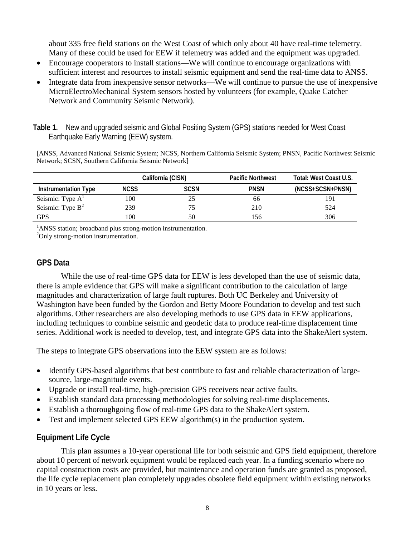about 335 free field stations on the West Coast of which only about 40 have real-time telemetry. Many of these could be used for EEW if telemetry was added and the equipment was upgraded.

- Encourage cooperators to install stations—We will continue to encourage organizations with sufficient interest and resources to install seismic equipment and send the real-time data to ANSS.
- Integrate data from inexpensive sensor networks—We will continue to pursue the use of inexpensive MicroElectroMechanical System sensors hosted by volunteers (for example, Quake Catcher Network and Community Seismic Network).
- **Table 1.** New and upgraded seismic and Global Positing System (GPS) stations needed for West Coast Earthquake Early Warning (EEW) system.

[ANSS, Advanced National Seismic System; NCSS, Northern California Seismic System; PNSN, Pacific Northwest Seismic Network; SCSN, Southern California Seismic Network]

|                             | California (CISN) |             | <b>Pacific Northwest</b> | Total: West Coast U.S. |
|-----------------------------|-------------------|-------------|--------------------------|------------------------|
| <b>Instrumentation Type</b> | <b>NCSS</b>       | <b>SCSN</b> | <b>PNSN</b>              | (NCSS+SCSN+PNSN)       |
| Seismic: Type $AT$          | 100               | 25          | 66                       | 191                    |
| Seismic: Type $B^2$         | 239               | 75          | 210                      | 524                    |
| GPS                         | 100               | 50          | 156                      | 306                    |

<sup>1</sup>ANSS station; broadband plus strong-motion instrumentation.

<sup>2</sup>Only strong-motion instrumentation.

#### **GPS Data**

While the use of real-time GPS data for EEW is less developed than the use of seismic data, there is ample evidence that GPS will make a significant contribution to the calculation of large magnitudes and characterization of large fault ruptures. Both UC Berkeley and University of Washington have been funded by the Gordon and Betty Moore Foundation to develop and test such algorithms. Other researchers are also developing methods to use GPS data in EEW applications, including techniques to combine seismic and geodetic data to produce real-time displacement time series. Additional work is needed to develop, test, and integrate GPS data into the ShakeAlert system.

The steps to integrate GPS observations into the EEW system are as follows:

- Identify GPS-based algorithms that best contribute to fast and reliable characterization of largesource, large-magnitude events.
- Upgrade or install real-time, high-precision GPS receivers near active faults.
- Establish standard data processing methodologies for solving real-time displacements.
- Establish a thoroughgoing flow of real-time GPS data to the ShakeAlert system.
- Test and implement selected GPS EEW algorithm(s) in the production system.

#### **Equipment Life Cycle**

This plan assumes a 10-year operational life for both seismic and GPS field equipment, therefore about 10 percent of network equipment would be replaced each year. In a funding scenario where no capital construction costs are provided, but maintenance and operation funds are granted as proposed, the life cycle replacement plan completely upgrades obsolete field equipment within existing networks in 10 years or less.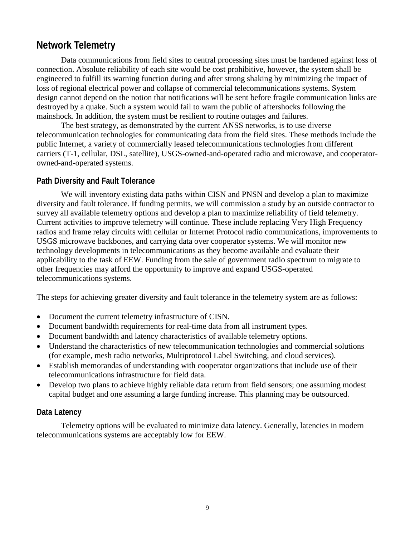# **Network Telemetry**

Data communications from field sites to central processing sites must be hardened against loss of connection. Absolute reliability of each site would be cost prohibitive, however, the system shall be engineered to fulfill its warning function during and after strong shaking by minimizing the impact of loss of regional electrical power and collapse of commercial telecommunications systems. System design cannot depend on the notion that notifications will be sent before fragile communication links are destroyed by a quake. Such a system would fail to warn the public of aftershocks following the mainshock. In addition, the system must be resilient to routine outages and failures.

The best strategy, as demonstrated by the current ANSS networks, is to use diverse telecommunication technologies for communicating data from the field sites. These methods include the public Internet, a variety of commercially leased telecommunications technologies from different carriers (T-1, cellular, DSL, satellite), USGS-owned-and-operated radio and microwave, and cooperatorowned-and-operated systems.

#### **Path Diversity and Fault Tolerance**

We will inventory existing data paths within CISN and PNSN and develop a plan to maximize diversity and fault tolerance. If funding permits, we will commission a study by an outside contractor to survey all available telemetry options and develop a plan to maximize reliability of field telemetry. Current activities to improve telemetry will continue. These include replacing Very High Frequency radios and frame relay circuits with cellular or Internet Protocol radio communications, improvements to USGS microwave backbones, and carrying data over cooperator systems. We will monitor new technology developments in telecommunications as they become available and evaluate their applicability to the task of EEW. Funding from the sale of government radio spectrum to migrate to other frequencies may afford the opportunity to improve and expand USGS-operated telecommunications systems.

The steps for achieving greater diversity and fault tolerance in the telemetry system are as follows:

- Document the current telemetry infrastructure of CISN.
- Document bandwidth requirements for real-time data from all instrument types.
- Document bandwidth and latency characteristics of available telemetry options.
- Understand the characteristics of new telecommunication technologies and commercial solutions (for example, mesh radio networks, Multiprotocol Label Switching, and cloud services).
- Establish memorandas of understanding with cooperator organizations that include use of their telecommunications infrastructure for field data.
- Develop two plans to achieve highly reliable data return from field sensors; one assuming modest capital budget and one assuming a large funding increase. This planning may be outsourced.

#### **Data Latency**

Telemetry options will be evaluated to minimize data latency. Generally, latencies in modern telecommunications systems are acceptably low for EEW.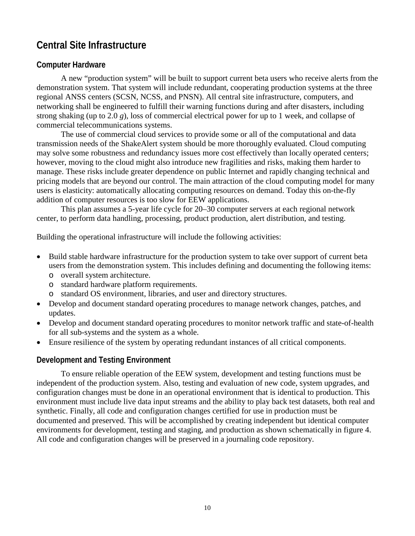# **Central Site Infrastructure**

### **Computer Hardware**

A new "production system" will be built to support current beta users who receive alerts from the demonstration system. That system will include redundant, cooperating production systems at the three regional ANSS centers (SCSN, NCSS, and PNSN). All central site infrastructure, computers, and networking shall be engineered to fulfill their warning functions during and after disasters, including strong shaking (up to 2.0 *g*), loss of commercial electrical power for up to 1 week, and collapse of commercial telecommunications systems.

The use of commercial cloud services to provide some or all of the computational and data transmission needs of the ShakeAlert system should be more thoroughly evaluated. Cloud computing may solve some robustness and redundancy issues more cost effectively than locally operated centers; however, moving to the cloud might also introduce new fragilities and risks, making them harder to manage. These risks include greater dependence on public Internet and rapidly changing technical and pricing models that are beyond our control. The main attraction of the cloud computing model for many users is elasticity: automatically allocating computing resources on demand. Today this on-the-fly addition of computer resources is too slow for EEW applications.

This plan assumes a 5-year life cycle for 20–30 computer servers at each regional network center, to perform data handling, processing, product production, alert distribution, and testing.

Building the operational infrastructure will include the following activities:

- Build stable hardware infrastructure for the production system to take over support of current beta users from the demonstration system. This includes defining and documenting the following items:
	- o overall system architecture.
	- o standard hardware platform requirements.
	- o standard OS environment, libraries, and user and directory structures.
- Develop and document standard operating procedures to manage network changes, patches, and updates.
- Develop and document standard operating procedures to monitor network traffic and state-of-health for all sub-systems and the system as a whole.
- Ensure resilience of the system by operating redundant instances of all critical components.

### **Development and Testing Environment**

To ensure reliable operation of the EEW system, development and testing functions must be independent of the production system. Also, testing and evaluation of new code, system upgrades, and configuration changes must be done in an operational environment that is identical to production. This environment must include live data input streams and the ability to play back test datasets, both real and synthetic. Finally, all code and configuration changes certified for use in production must be documented and preserved. This will be accomplished by creating independent but identical computer environments for development, testing and staging, and production as shown schematically in figure 4. All code and configuration changes will be preserved in a journaling code repository.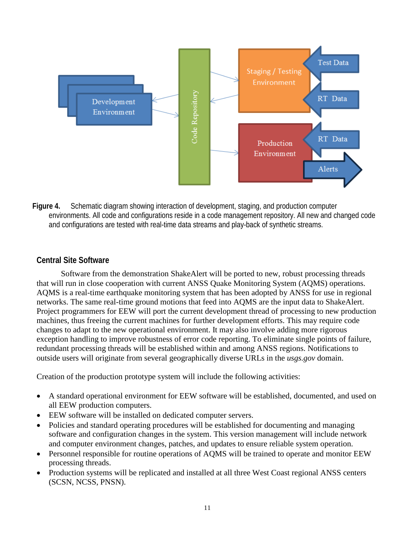

**Figure 4.** Schematic diagram showing interaction of development, staging, and production computer environments. All code and configurations reside in a code management repository. All new and changed code and configurations are tested with real-time data streams and play-back of synthetic streams.

## **Central Site Software**

Software from the demonstration ShakeAlert will be ported to new, robust processing threads that will run in close cooperation with current ANSS Quake Monitoring System (AQMS) operations. AQMS is a real-time earthquake monitoring system that has been adopted by ANSS for use in regional networks. The same real-time ground motions that feed into AQMS are the input data to ShakeAlert. Project programmers for EEW will port the current development thread of processing to new production machines, thus freeing the current machines for further development efforts. This may require code changes to adapt to the new operational environment. It may also involve adding more rigorous exception handling to improve robustness of error code reporting. To eliminate single points of failure, redundant processing threads will be established within and among ANSS regions. Notifications to outside users will originate from several geographically diverse URLs in the *usgs.gov* domain.

Creation of the production prototype system will include the following activities:

- A standard operational environment for EEW software will be established, documented, and used on all EEW production computers.
- EEW software will be installed on dedicated computer servers.
- Policies and standard operating procedures will be established for documenting and managing software and configuration changes in the system. This version management will include network and computer environment changes, patches, and updates to ensure reliable system operation.
- Personnel responsible for routine operations of AQMS will be trained to operate and monitor EEW processing threads.
- Production systems will be replicated and installed at all three West Coast regional ANSS centers (SCSN, NCSS, PNSN).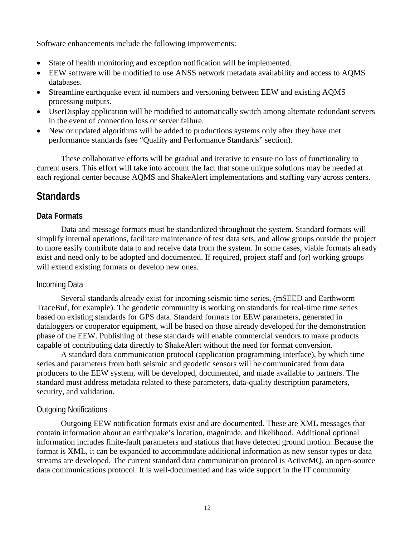Software enhancements include the following improvements:

- State of health monitoring and exception notification will be implemented.
- EEW software will be modified to use ANSS network metadata availability and access to AQMS databases.
- Streamline earthquake event id numbers and versioning between EEW and existing AQMS processing outputs.
- UserDisplay application will be modified to automatically switch among alternate redundant servers in the event of connection loss or server failure.
- New or updated algorithms will be added to productions systems only after they have met performance standards (see "Quality and Performance Standards" section).

These collaborative efforts will be gradual and iterative to ensure no loss of functionality to current users. This effort will take into account the fact that some unique solutions may be needed at each regional center because AQMS and ShakeAlert implementations and staffing vary across centers.

## **Standards**

#### **Data Formats**

Data and message formats must be standardized throughout the system. Standard formats will simplify internal operations, facilitate maintenance of test data sets, and allow groups outside the project to more easily contribute data to and receive data from the system. In some cases, viable formats already exist and need only to be adopted and documented. If required, project staff and (or) working groups will extend existing formats or develop new ones.

#### Incoming Data

Several standards already exist for incoming seismic time series, (mSEED and Earthworm TraceBuf, for example). The geodetic community is working on standards for real-time time series based on existing standards for GPS data. Standard formats for EEW parameters, generated in dataloggers or cooperator equipment, will be based on those already developed for the demonstration phase of the EEW. Publishing of these standards will enable commercial vendors to make products capable of contributing data directly to ShakeAlert without the need for format conversion.

A standard data communication protocol (application programming interface), by which time series and parameters from both seismic and geodetic sensors will be communicated from data producers to the EEW system, will be developed, documented, and made available to partners. The standard must address metadata related to these parameters, data-quality description parameters, security, and validation.

#### Outgoing Notifications

Outgoing EEW notification formats exist and are documented. These are XML messages that contain information about an earthquake's location, magnitude, and likelihood. Additional optional information includes finite-fault parameters and stations that have detected ground motion. Because the format is XML, it can be expanded to accommodate additional information as new sensor types or data streams are developed. The current standard data communication protocol is ActiveMQ, an open-source data communications protocol. It is well-documented and has wide support in the IT community.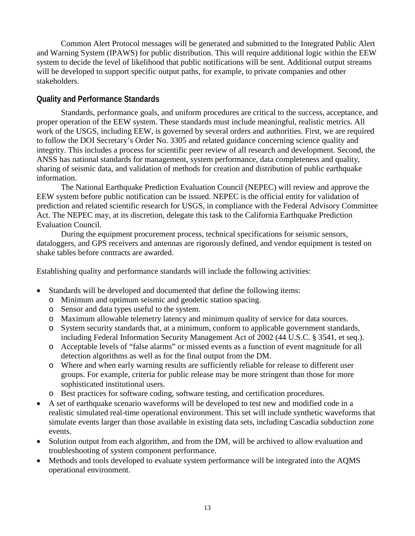Common Alert Protocol messages will be generated and submitted to the Integrated Public Alert and Warning System (IPAWS) for public distribution. This will require additional logic within the EEW system to decide the level of likelihood that public notifications will be sent. Additional output streams will be developed to support specific output paths, for example, to private companies and other stakeholders.

### **Quality and Performance Standards**

Standards, performance goals, and uniform procedures are critical to the success, acceptance, and proper operation of the EEW system. These standards must include meaningful, realistic metrics. All work of the USGS, including EEW, is governed by several orders and authorities. First, we are required to follow the DOI Secretary's Order No. 3305 and related guidance concerning science quality and integrity. This includes a process for scientific peer review of all research and development. Second, the ANSS has national standards for management, system performance, data completeness and quality, sharing of seismic data, and validation of methods for creation and distribution of public earthquake information.

The National Earthquake Prediction Evaluation Council (NEPEC) will review and approve the EEW system before public notification can be issued. NEPEC is the official entity for validation of prediction and related scientific research for USGS, in compliance with the Federal Advisory Committee Act. The NEPEC may, at its discretion, delegate this task to the California Earthquake Prediction Evaluation Council.

During the equipment procurement process, technical specifications for seismic sensors, dataloggers, and GPS receivers and antennas are rigorously defined, and vendor equipment is tested on shake tables before contracts are awarded.

Establishing quality and performance standards will include the following activities:

- Standards will be developed and documented that define the following items:
	- o Minimum and optimum seismic and geodetic station spacing.
	- o Sensor and data types useful to the system.
	- o Maximum allowable telemetry latency and minimum quality of service for data sources.
	- o System security standards that, at a minimum, conform to applicable government standards, including Federal Information Security Management Act of 2002 (44 U.S.C. § 3541, et seq.).
	- o Acceptable levels of "false alarms" or missed events as a function of event magnitude for all detection algorithms as well as for the final output from the DM.
	- o Where and when early warning results are sufficiently reliable for release to different user groups. For example, criteria for public release may be more stringent than those for more sophisticated institutional users.
	- o Best practices for software coding, software testing, and certification procedures.
- A set of earthquake scenario waveforms will be developed to test new and modified code in a realistic simulated real-time operational environment. This set will include synthetic waveforms that simulate events larger than those available in existing data sets, including Cascadia subduction zone events.
- Solution output from each algorithm, and from the DM, will be archived to allow evaluation and troubleshooting of system component performance.
- Methods and tools developed to evaluate system performance will be integrated into the AOMS operational environment.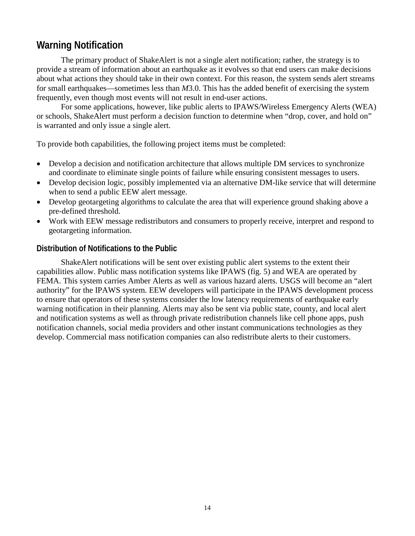# **Warning Notification**

The primary product of ShakeAlert is not a single alert notification; rather, the strategy is to provide a stream of information about an earthquake as it evolves so that end users can make decisions about what actions they should take in their own context. For this reason, the system sends alert streams for small earthquakes—sometimes less than *M*3.0. This has the added benefit of exercising the system frequently, even though most events will not result in end-user actions.

For some applications, however, like public alerts to IPAWS/Wireless Emergency Alerts (WEA) or schools, ShakeAlert must perform a decision function to determine when "drop, cover, and hold on" is warranted and only issue a single alert.

To provide both capabilities, the following project items must be completed:

- Develop a decision and notification architecture that allows multiple DM services to synchronize and coordinate to eliminate single points of failure while ensuring consistent messages to users.
- Develop decision logic, possibly implemented via an alternative DM-like service that will determine when to send a public EEW alert message.
- Develop geotargeting algorithms to calculate the area that will experience ground shaking above a pre-defined threshold.
- Work with EEW message redistributors and consumers to properly receive, interpret and respond to geotargeting information.

#### **Distribution of Notifications to the Public**

ShakeAlert notifications will be sent over existing public alert systems to the extent their capabilities allow. Public mass notification systems like IPAWS (fig. 5) and WEA are operated by FEMA. This system carries Amber Alerts as well as various hazard alerts. USGS will become an "alert authority" for the IPAWS system. EEW developers will participate in the IPAWS development process to ensure that operators of these systems consider the low latency requirements of earthquake early warning notification in their planning. Alerts may also be sent via public state, county, and local alert and notification systems as well as through private redistribution channels like cell phone apps, push notification channels, social media providers and other instant communications technologies as they develop. Commercial mass notification companies can also redistribute alerts to their customers.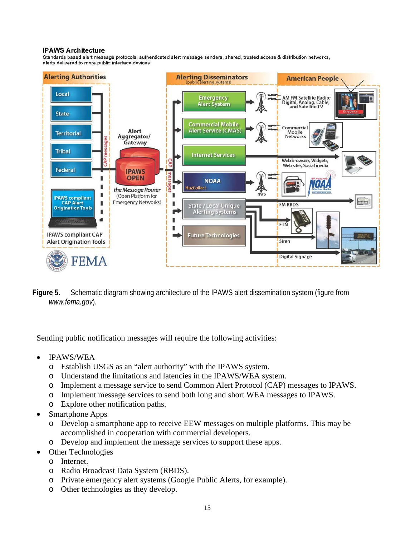#### **IPAWS Architecture**

Standards based alert message protocols, authenticated alert message senders, shared, trusted access & distribution networks, alerts delivered to more public interface devices



**Figure 5.** Schematic diagram showing architecture of the IPAWS alert dissemination system (figure from *www.fema.gov*).

Sending public notification messages will require the following activities:

- IPAWS/WEA
	- o Establish USGS as an "alert authority" with the IPAWS system.
	- o Understand the limitations and latencies in the IPAWS/WEA system.
	- o Implement a message service to send Common Alert Protocol (CAP) messages to IPAWS.
	- o Implement message services to send both long and short WEA messages to IPAWS.
	- o Explore other notification paths.
- Smartphone Apps
	- o Develop a smartphone app to receive EEW messages on multiple platforms. This may be accomplished in cooperation with commercial developers.
	- o Develop and implement the message services to support these apps.
- **Other Technologies** 
	- o Internet.
	- o Radio Broadcast Data System (RBDS).
	- o Private emergency alert systems (Google Public Alerts, for example).
	- o Other technologies as they develop.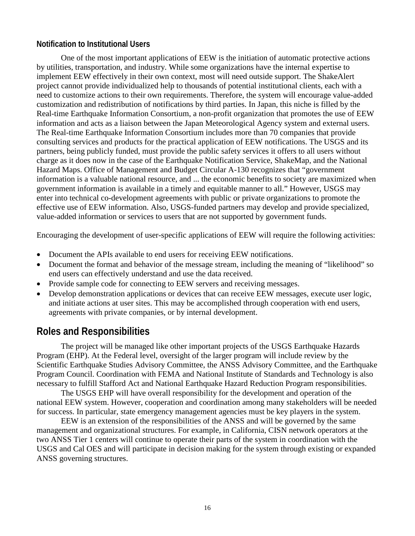### **Notification to Institutional Users**

One of the most important applications of EEW is the initiation of automatic protective actions by utilities, transportation, and industry. While some organizations have the internal expertise to implement EEW effectively in their own context, most will need outside support. The ShakeAlert project cannot provide individualized help to thousands of potential institutional clients, each with a need to customize actions to their own requirements. Therefore, the system will encourage value-added customization and redistribution of notifications by third parties. In Japan, this niche is filled by the Real-time Earthquake Information Consortium, a non-profit organization that promotes the use of EEW information and acts as a liaison between the Japan Meteorological Agency system and external users. The Real-time Earthquake Information Consortium includes more than 70 companies that provide consulting services and products for the practical application of EEW notifications. The USGS and its partners, being publicly funded, must provide the public safety services it offers to all users without charge as it does now in the case of the Earthquake Notification Service, ShakeMap, and the National Hazard Maps. Office of Management and Budget Circular A-130 recognizes that "government information is a valuable national resource, and ... the economic benefits to society are maximized when government information is available in a timely and equitable manner to all." However, USGS may enter into technical co-development agreements with public or private organizations to promote the effective use of EEW information. Also, USGS-funded partners may develop and provide specialized, value-added information or services to users that are not supported by government funds.

Encouraging the development of user-specific applications of EEW will require the following activities:

- Document the APIs available to end users for receiving EEW notifications.
- Document the format and behavior of the message stream, including the meaning of "likelihood" so end users can effectively understand and use the data received.
- Provide sample code for connecting to EEW servers and receiving messages.
- Develop demonstration applications or devices that can receive EEW messages, execute user logic, and initiate actions at user sites. This may be accomplished through cooperation with end users, agreements with private companies, or by internal development.

## **Roles and Responsibilities**

The project will be managed like other important projects of the USGS Earthquake Hazards Program (EHP). At the Federal level, oversight of the larger program will include review by the Scientific Earthquake Studies Advisory Committee, the ANSS Advisory Committee, and the Earthquake Program Council. Coordination with FEMA and National Institute of Standards and Technology is also necessary to fulfill Stafford Act and National Earthquake Hazard Reduction Program responsibilities.

The USGS EHP will have overall responsibility for the development and operation of the national EEW system. However, cooperation and coordination among many stakeholders will be needed for success. In particular, state emergency management agencies must be key players in the system.

EEW is an extension of the responsibilities of the ANSS and will be governed by the same management and organizational structures. For example, in California, CISN network operators at the two ANSS Tier 1 centers will continue to operate their parts of the system in coordination with the USGS and Cal OES and will participate in decision making for the system through existing or expanded ANSS governing structures.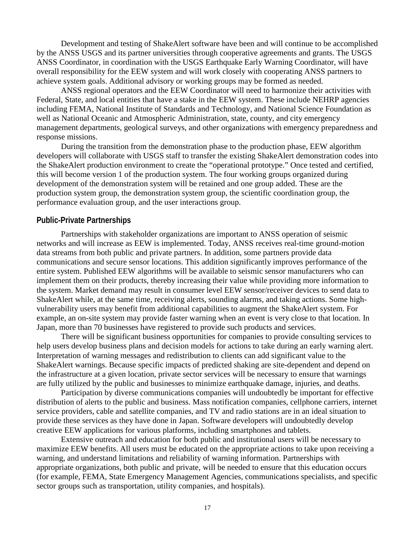Development and testing of ShakeAlert software have been and will continue to be accomplished by the ANSS USGS and its partner universities through cooperative agreements and grants. The USGS ANSS Coordinator, in coordination with the USGS Earthquake Early Warning Coordinator, will have overall responsibility for the EEW system and will work closely with cooperating ANSS partners to achieve system goals. Additional advisory or working groups may be formed as needed.

ANSS regional operators and the EEW Coordinator will need to harmonize their activities with Federal, State, and local entities that have a stake in the EEW system. These include NEHRP agencies including FEMA, National Institute of Standards and Technology, and National Science Foundation as well as National Oceanic and Atmospheric Administration, state, county, and city emergency management departments, geological surveys, and other organizations with emergency preparedness and response missions.

During the transition from the demonstration phase to the production phase, EEW algorithm developers will collaborate with USGS staff to transfer the existing ShakeAlert demonstration codes into the ShakeAlert production environment to create the "operational prototype." Once tested and certified, this will become version 1 of the production system. The four working groups organized during development of the demonstration system will be retained and one group added. These are the production system group, the demonstration system group, the scientific coordination group, the performance evaluation group, and the user interactions group.

#### **Public-Private Partnerships**

Partnerships with stakeholder organizations are important to ANSS operation of seismic networks and will increase as EEW is implemented. Today, ANSS receives real-time ground-motion data streams from both public and private partners. In addition, some partners provide data communications and secure sensor locations. This addition significantly improves performance of the entire system. Published EEW algorithms will be available to seismic sensor manufacturers who can implement them on their products, thereby increasing their value while providing more information to the system. Market demand may result in consumer level EEW sensor/receiver devices to send data to ShakeAlert while, at the same time, receiving alerts, sounding alarms, and taking actions. Some highvulnerability users may benefit from additional capabilities to augment the ShakeAlert system. For example, an on-site system may provide faster warning when an event is very close to that location. In Japan, more than 70 businesses have registered to provide such products and services.

There will be significant business opportunities for companies to provide consulting services to help users develop business plans and decision models for actions to take during an early warning alert. Interpretation of warning messages and redistribution to clients can add significant value to the ShakeAlert warnings. Because specific impacts of predicted shaking are site-dependent and depend on the infrastructure at a given location, private sector services will be necessary to ensure that warnings are fully utilized by the public and businesses to minimize earthquake damage, injuries, and deaths.

Participation by diverse communications companies will undoubtedly be important for effective distribution of alerts to the public and business. Mass notification companies, cellphone carriers, internet service providers, cable and satellite companies, and TV and radio stations are in an ideal situation to provide these services as they have done in Japan. Software developers will undoubtedly develop creative EEW applications for various platforms, including smartphones and tablets.

Extensive outreach and education for both public and institutional users will be necessary to maximize EEW benefits. All users must be educated on the appropriate actions to take upon receiving a warning, and understand limitations and reliability of warning information. Partnerships with appropriate organizations, both public and private, will be needed to ensure that this education occurs (for example, FEMA, State Emergency Management Agencies, communications specialists, and specific sector groups such as transportation, utility companies, and hospitals).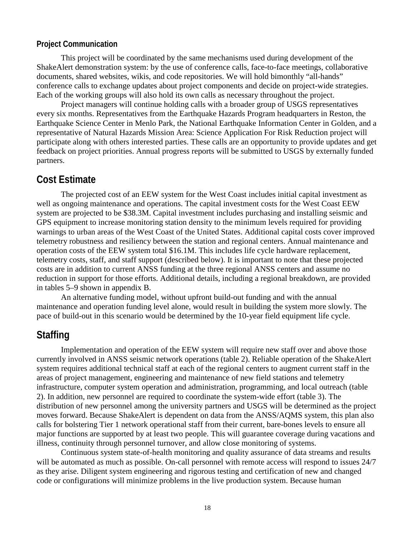#### **Project Communication**

This project will be coordinated by the same mechanisms used during development of the ShakeAlert demonstration system: by the use of conference calls, face-to-face meetings, collaborative documents, shared websites, wikis, and code repositories. We will hold bimonthly "all-hands" conference calls to exchange updates about project components and decide on project-wide strategies. Each of the working groups will also hold its own calls as necessary throughout the project.

Project managers will continue holding calls with a broader group of USGS representatives every six months. Representatives from the Earthquake Hazards Program headquarters in Reston, the Earthquake Science Center in Menlo Park, the National Earthquake Information Center in Golden, and a representative of Natural Hazards Mission Area: Science Application For Risk Reduction project will participate along with others interested parties. These calls are an opportunity to provide updates and get feedback on project priorities. Annual progress reports will be submitted to USGS by externally funded partners.

### **Cost Estimate**

The projected cost of an EEW system for the West Coast includes initial capital investment as well as ongoing maintenance and operations. The capital investment costs for the West Coast EEW system are projected to be \$38.3M. Capital investment includes purchasing and installing seismic and GPS equipment to increase monitoring station density to the minimum levels required for providing warnings to urban areas of the West Coast of the United States. Additional capital costs cover improved telemetry robustness and resiliency between the station and regional centers. Annual maintenance and operation costs of the EEW system total \$16.1M. This includes life cycle hardware replacement, telemetry costs, staff, and staff support (described below). It is important to note that these projected costs are in addition to current ANSS funding at the three regional ANSS centers and assume no reduction in support for those efforts. Additional details, including a regional breakdown, are provided in tables 5–9 shown in appendix B.

An alternative funding model, without upfront build-out funding and with the annual maintenance and operation funding level alone, would result in building the system more slowly. The pace of build-out in this scenario would be determined by the 10-year field equipment life cycle.

## **Staffing**

Implementation and operation of the EEW system will require new staff over and above those currently involved in ANSS seismic network operations (table 2). Reliable operation of the ShakeAlert system requires additional technical staff at each of the regional centers to augment current staff in the areas of project management, engineering and maintenance of new field stations and telemetry infrastructure, computer system operation and administration, programming, and local outreach (table 2). In addition, new personnel are required to coordinate the system-wide effort (table 3). The distribution of new personnel among the university partners and USGS will be determined as the project moves forward. Because ShakeAlert is dependent on data from the ANSS/AQMS system, this plan also calls for bolstering Tier 1 network operational staff from their current, bare-bones levels to ensure all major functions are supported by at least two people. This will guarantee coverage during vacations and illness, continuity through personnel turnover, and allow close monitoring of systems.

Continuous system state-of-health monitoring and quality assurance of data streams and results will be automated as much as possible. On-call personnel with remote access will respond to issues 24/7 as they arise. Diligent system engineering and rigorous testing and certification of new and changed code or configurations will minimize problems in the live production system. Because human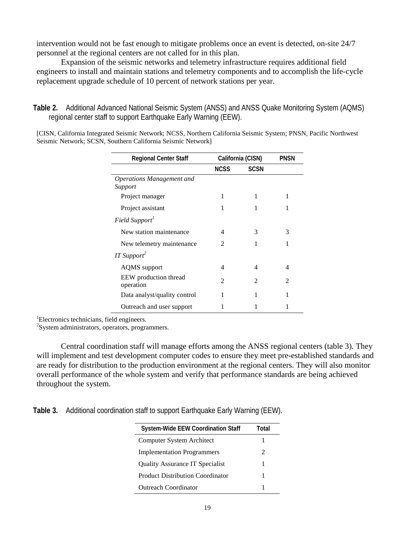intervention would not be fast enough to mitigate problems once an event is detected, on-site 24/7 personnel at the regional centers are not called for in this plan.

Expansion of the seismic networks and telemetry infrastructure requires additional field engineers to install and maintain stations and telemetry components and to accomplish the life-cycle replacement upgrade schedule of 10 percent of network stations per year.

**Table 2.** Additional Advanced National Seismic System (ANSS) and ANSS Quake Monitoring System (AQMS) regional center staff to support Earthquake Early Warning (EEW).

[CISN, California Integrated Seismic Network; NCSS, Northern California Seismic System; PNSN, Pacific Northwest Seismic Network; SCSN, Southern California Seismic Network]

| <b>Regional Center Staff</b>         |             | California (CISN) | <b>PNSN</b>    |
|--------------------------------------|-------------|-------------------|----------------|
|                                      | <b>NCSS</b> | <b>SCSN</b>       |                |
| Operations Management and<br>Support |             |                   |                |
| Project manager                      | 1           | 1                 | 1              |
| Project assistant                    | 1           |                   | 1              |
| Field Support <sup>1</sup>           |             |                   |                |
| New station maintenance              | 4           | 3                 | 3              |
| New telemetry maintenance            | 2           | 1                 | 1              |
| $IT$ Support <sup>2</sup>            |             |                   |                |
| <b>AQMS</b> support                  | 4           | 4                 | 4              |
| EEW production thread<br>operation   | 2           | 2                 | $\mathfrak{D}$ |
| Data analyst/quality control         | 1           | 1                 | 1              |
| Outreach and user support            | 1           |                   |                |

 ${}^{1}$ Electronics technicians, field engineers.

 $\mathrm{^{2}S}$ ystem administrators, operators, programmers.

Central coordination staff will manage efforts among the ANSS regional centers (table 3). They will implement and test development computer codes to ensure they meet pre-established standards and are ready for distribution to the production environment at the regional centers. They will also monitor overall performance of the whole system and verify that performance standards are being achieved throughout the system.

**Table 3.** Additional coordination staff to support Earthquake Early Warning (EEW).

| <b>System-Wide EEW Coordination Staff</b> | Total          |
|-------------------------------------------|----------------|
| Computer System Architect                 | 1              |
| <b>Implementation Programmers</b>         | $\mathfrak{D}$ |
| <b>Quality Assurance IT Specialist</b>    | 1              |
| <b>Product Distribution Coordinator</b>   | 1              |
| <b>Outreach Coordinator</b>               |                |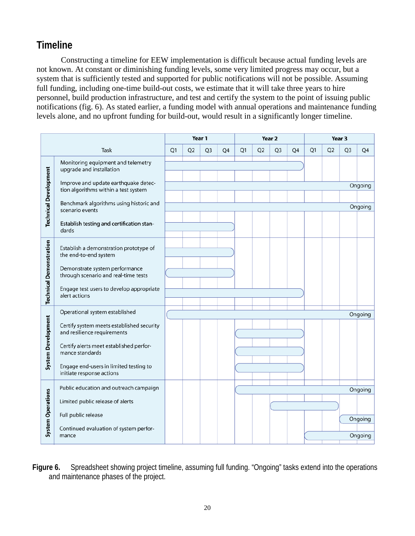# **Timeline**

Constructing a timeline for EEW implementation is difficult because actual funding levels are not known. At constant or diminishing funding levels, some very limited progress may occur, but a system that is sufficiently tested and supported for public notifications will not be possible. Assuming full funding, including one-time build-out costs, we estimate that it will take three years to hire personnel, build production infrastructure, and test and certify the system to the point of issuing public notifications (fig. 6). As stated earlier, a funding model with annual operations and maintenance funding levels alone, and no upfront funding for build-out, would result in a significantly longer timeline.

|                                |                                                                              |                |                | Year 1         | Year 2 |    | Year 3         |                |    |    |                |                |         |
|--------------------------------|------------------------------------------------------------------------------|----------------|----------------|----------------|--------|----|----------------|----------------|----|----|----------------|----------------|---------|
|                                | Task                                                                         | Q <sub>1</sub> | Q <sub>2</sub> | Q <sub>3</sub> | Q4     | Q1 | Q <sub>2</sub> | Q <sub>3</sub> | Q4 | Q1 | Q <sub>2</sub> | Q <sub>3</sub> | Q4      |
|                                | Monitoring equipment and telemetry<br>upgrade and installation               |                |                |                |        |    |                |                |    |    |                |                |         |
|                                | Improve and update earthquake detec-<br>tion algorithms within a test system |                |                |                |        |    |                |                |    |    |                |                | Ongoing |
| <b>Technical Development</b>   | Benchmark algorithms using historic and<br>scenario events                   |                |                |                |        |    |                |                |    |    |                |                | Ongoing |
|                                | Establish testing and certification stan-<br>dards                           |                |                |                |        |    |                |                |    |    |                |                |         |
|                                | Establish a demonstration prototype of<br>the end-to-end system              |                |                |                |        |    |                |                |    |    |                |                |         |
| <b>Technical Demonstration</b> | Demonstrate system performance<br>through scenario and real-time tests       |                |                |                |        |    |                |                |    |    |                |                |         |
|                                | Engage test users to develop appropriate<br>alert actions                    |                |                |                |        |    |                |                |    |    |                |                |         |
|                                | Operational system established                                               |                |                |                |        |    |                |                |    |    |                |                | Ongoing |
| <b>System Development</b>      | Certify system meets established security<br>and resilience requirements     |                |                |                |        |    |                |                |    |    |                |                |         |
|                                | Certify alerts meet established perfor-<br>mance standards                   |                |                |                |        |    |                |                |    |    |                |                |         |
|                                | Engage end-users in limited testing to<br>initiate response actions          |                |                |                |        |    |                |                |    |    |                |                |         |
|                                | Public education and outreach campaign                                       |                |                |                |        |    |                |                |    |    |                |                | Ongoing |
| <b>System Operations</b>       | Limited public release of alerts                                             |                |                |                |        |    |                |                |    |    |                |                |         |
|                                | Full public release                                                          |                |                |                |        |    |                |                |    |    |                |                | Ongoing |
|                                | Continued evaluation of system perfor-<br>mance                              |                |                |                |        |    |                |                |    |    |                |                | Ongoing |

**Figure 6.** Spreadsheet showing project timeline, assuming full funding. "Ongoing" tasks extend into the operations and maintenance phases of the project.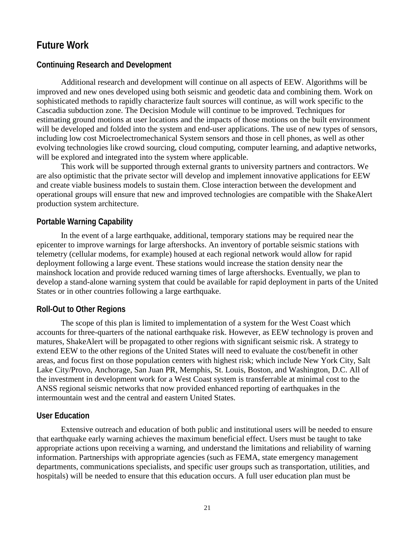## **Future Work**

#### **Continuing Research and Development**

Additional research and development will continue on all aspects of EEW. Algorithms will be improved and new ones developed using both seismic and geodetic data and combining them. Work on sophisticated methods to rapidly characterize fault sources will continue, as will work specific to the Cascadia subduction zone. The Decision Module will continue to be improved. Techniques for estimating ground motions at user locations and the impacts of those motions on the built environment will be developed and folded into the system and end-user applications. The use of new types of sensors, including low cost Microelectromechanical System sensors and those in cell phones, as well as other evolving technologies like crowd sourcing, cloud computing, computer learning, and adaptive networks, will be explored and integrated into the system where applicable.

This work will be supported through external grants to university partners and contractors. We are also optimistic that the private sector will develop and implement innovative applications for EEW and create viable business models to sustain them. Close interaction between the development and operational groups will ensure that new and improved technologies are compatible with the ShakeAlert production system architecture.

#### **Portable Warning Capability**

In the event of a large earthquake, additional, temporary stations may be required near the epicenter to improve warnings for large aftershocks. An inventory of portable seismic stations with telemetry (cellular modems, for example) housed at each regional network would allow for rapid deployment following a large event. These stations would increase the station density near the mainshock location and provide reduced warning times of large aftershocks. Eventually, we plan to develop a stand-alone warning system that could be available for rapid deployment in parts of the United States or in other countries following a large earthquake.

#### **Roll-Out to Other Regions**

The scope of this plan is limited to implementation of a system for the West Coast which accounts for three-quarters of the national earthquake risk. However, as EEW technology is proven and matures, ShakeAlert will be propagated to other regions with significant seismic risk. A strategy to extend EEW to the other regions of the United States will need to evaluate the cost/benefit in other areas, and focus first on those population centers with highest risk; which include New York City, Salt Lake City/Provo, Anchorage, San Juan PR, Memphis, St. Louis, Boston, and Washington, D.C. All of the investment in development work for a West Coast system is transferrable at minimal cost to the ANSS regional seismic networks that now provided enhanced reporting of earthquakes in the intermountain west and the central and eastern United States.

#### **User Education**

Extensive outreach and education of both public and institutional users will be needed to ensure that earthquake early warning achieves the maximum beneficial effect. Users must be taught to take appropriate actions upon receiving a warning, and understand the limitations and reliability of warning information. Partnerships with appropriate agencies (such as FEMA, state emergency management departments, communications specialists, and specific user groups such as transportation, utilities, and hospitals) will be needed to ensure that this education occurs. A full user education plan must be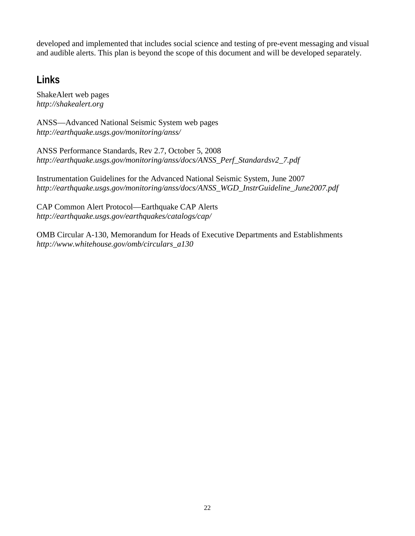developed and implemented that includes social science and testing of pre-event messaging and visual and audible alerts. This plan is beyond the scope of this document and will be developed separately.

# **Links**

ShakeAlert web pages *http://shakealert.org*

ANSS—Advanced National Seismic System web pages *http://earthquake.usgs.gov/monitoring/anss/*

ANSS Performance Standards, Rev 2.7, October 5, 2008 *http://earthquake.usgs.gov/monitoring/anss/docs/ANSS\_Perf\_Standardsv2\_7.pdf*

Instrumentation Guidelines for the Advanced National Seismic System, June 2007 *http://earthquake.usgs.gov/monitoring/anss/docs/ANSS\_WGD\_InstrGuideline\_June2007.pdf*

CAP Common Alert Protocol—Earthquake CAP Alerts *http://earthquake.usgs.gov/earthquakes/catalogs/cap/*

OMB Circular A-130, Memorandum for Heads of Executive Departments and Establishments *http://www.whitehouse.gov/omb/circulars\_a130*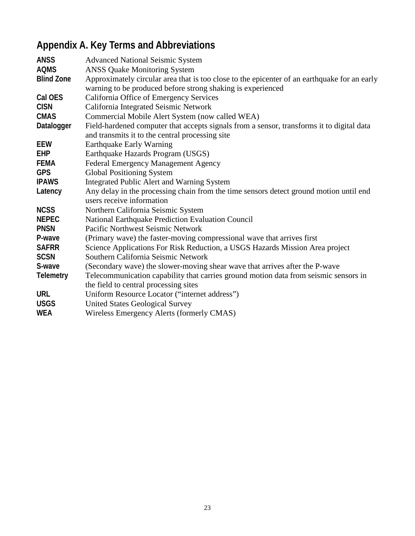# **Appendix A. Key Terms and Abbreviations**

| <b>Advanced National Seismic System</b>                                                                                                                     |
|-------------------------------------------------------------------------------------------------------------------------------------------------------------|
| <b>ANSS Quake Monitoring System</b>                                                                                                                         |
| Approximately circular area that is too close to the epicenter of an earthquake for an early<br>warning to be produced before strong shaking is experienced |
| California Office of Emergency Services                                                                                                                     |
| California Integrated Seismic Network                                                                                                                       |
| Commercial Mobile Alert System (now called WEA)                                                                                                             |
| Field-hardened computer that accepts signals from a sensor, transforms it to digital data<br>and transmits it to the central processing site                |
| <b>Earthquake Early Warning</b>                                                                                                                             |
| Earthquake Hazards Program (USGS)                                                                                                                           |
| Federal Emergency Management Agency                                                                                                                         |
| <b>Global Positioning System</b>                                                                                                                            |
| <b>Integrated Public Alert and Warning System</b>                                                                                                           |
| Any delay in the processing chain from the time sensors detect ground motion until end<br>users receive information                                         |
| Northern California Seismic System                                                                                                                          |
| National Earthquake Prediction Evaluation Council                                                                                                           |
| Pacific Northwest Seismic Network                                                                                                                           |
| (Primary wave) the faster-moving compressional wave that arrives first                                                                                      |
| Science Applications For Risk Reduction, a USGS Hazards Mission Area project                                                                                |
| Southern California Seismic Network                                                                                                                         |
| (Secondary wave) the slower-moving shear wave that arrives after the P-wave                                                                                 |
| Telecommunication capability that carries ground motion data from seismic sensors in<br>the field to central processing sites                               |
| Uniform Resource Locator ("internet address")                                                                                                               |
| <b>United States Geological Survey</b>                                                                                                                      |
| Wireless Emergency Alerts (formerly CMAS)                                                                                                                   |
|                                                                                                                                                             |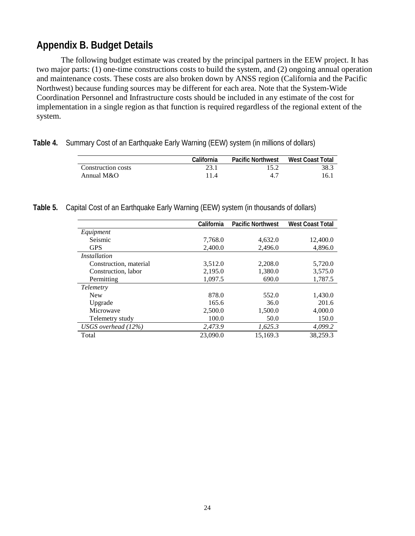## **Appendix B. Budget Details**

The following budget estimate was created by the principal partners in the EEW project. It has two major parts: (1) one-time constructions costs to build the system, and (2) ongoing annual operation and maintenance costs. These costs are also broken down by ANSS region (California and the Pacific Northwest) because funding sources may be different for each area. Note that the System-Wide Coordination Personnel and Infrastructure costs should be included in any estimate of the cost for implementation in a single region as that function is required regardless of the regional extent of the system.

|  |  | Table 4. Summary Cost of an Earthquake Early Warning (EEW) system (in millions of dollars) |  |  |  |  |  |  |  |  |  |  |
|--|--|--------------------------------------------------------------------------------------------|--|--|--|--|--|--|--|--|--|--|
|--|--|--------------------------------------------------------------------------------------------|--|--|--|--|--|--|--|--|--|--|

|                    | California | <b>Pacific Northwest</b> | <b>West Coast Total</b> |
|--------------------|------------|--------------------------|-------------------------|
| Construction costs | 23.1       | 15.2                     | 38.3                    |
| Annual $M&O$       | 11.4       | 47                       | 16.                     |

**Table 5.** Capital Cost of an Earthquake Early Warning (EEW) system (in thousands of dollars)

|                        | California | <b>Pacific Northwest</b> | <b>West Coast Total</b> |
|------------------------|------------|--------------------------|-------------------------|
| Equipment              |            |                          |                         |
| Seismic                | 7,768.0    | 4,632.0                  | 12,400.0                |
| <b>GPS</b>             | 2,400.0    | 2,496.0                  | 4,896.0                 |
| <i>Installation</i>    |            |                          |                         |
| Construction, material | 3,512.0    | 2,208.0                  | 5,720.0                 |
| Construction, labor    | 2,195.0    | 1,380.0                  | 3,575.0                 |
| Permitting             | 1,097.5    | 690.0                    | 1,787.5                 |
| <i>Telemetry</i>       |            |                          |                         |
| <b>New</b>             | 878.0      | 552.0                    | 1,430.0                 |
| Upgrade                | 165.6      | 36.0                     | 201.6                   |
| Microwave              | 2,500.0    | 1,500.0                  | 4,000.0                 |
| Telemetry study        | 100.0      | 50.0                     | 150.0                   |
| USGS overhead $(12\%)$ | 2,473.9    | 1,625.3                  | 4,099.2                 |
| Total                  | 23,090.0   | 15.169.3                 | 38.259.3                |